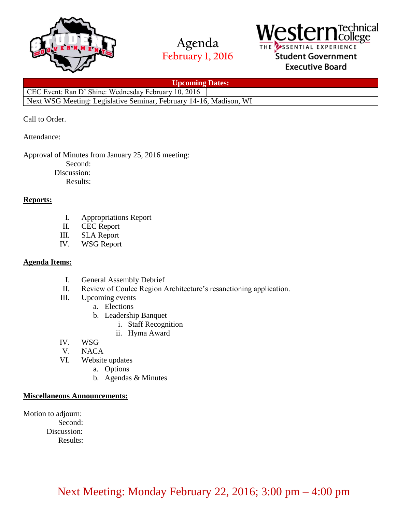

# **Agenda February 1, 2016**



### SSENTIAL EXPERIENCE Student Government **Executive Board**

**Upcoming Dates:**

CEC Event: Ran D' Shine: Wednesday February 10, 2016 Next WSG Meeting: Legislative Seminar, February 14-16, Madison, WI

Call to Order.

Attendance:

Approval of Minutes from January 25, 2016 meeting:

Second:

 Discussion: Results:

### **Reports:**

- I. Appropriations Report
- II. CEC Report
- III. SLA Report
- IV. WSG Report

### **Agenda Items:**

- I. General Assembly Debrief
- II. Review of Coulee Region Architecture's resanctioning application.
- III. Upcoming events
	- a. Elections
		- b. Leadership Banquet
			- i. Staff Recognition
			- ii. Hyma Award
- IV. WSG
- V. NACA
- VI. Website updates
	- a. Options
	- b. Agendas & Minutes

### **Miscellaneous Announcements:**

Motion to adjourn:

Second:

Discussion:

Results:

## Next Meeting: Monday February 22, 2016; 3:00 pm – 4:00 pm